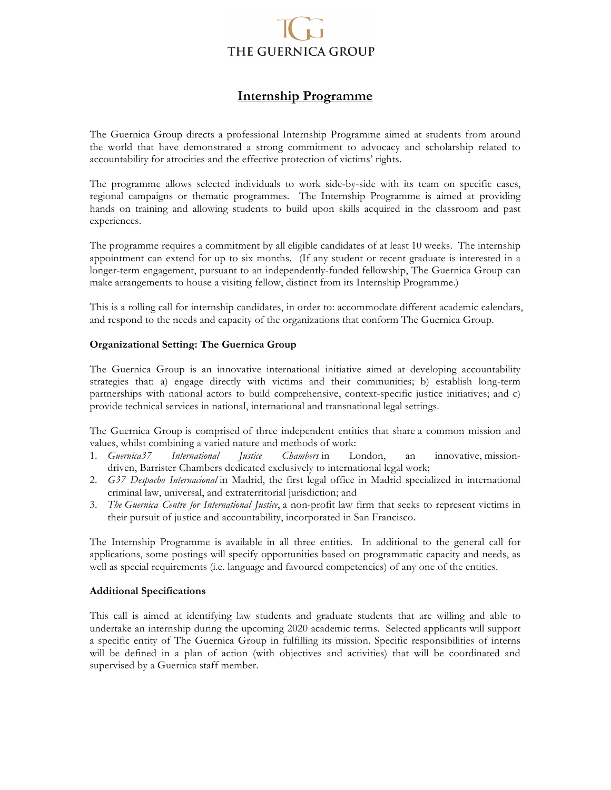# THE GUERNICA GROUP

## **Internship Programme**

The Guernica Group directs a professional Internship Programme aimed at students from around the world that have demonstrated a strong commitment to advocacy and scholarship related to accountability for atrocities and the effective protection of victims' rights.

The programme allows selected individuals to work side-by-side with its team on specific cases, regional campaigns or thematic programmes. The Internship Programme is aimed at providing hands on training and allowing students to build upon skills acquired in the classroom and past experiences.

The programme requires a commitment by all eligible candidates of at least 10 weeks. The internship appointment can extend for up to six months. (If any student or recent graduate is interested in a longer-term engagement, pursuant to an independently-funded fellowship, The Guernica Group can make arrangements to house a visiting fellow, distinct from its Internship Programme.)

This is a rolling call for internship candidates, in order to: accommodate different academic calendars, and respond to the needs and capacity of the organizations that conform The Guernica Group.

#### **Organizational Setting: The Guernica Group**

The Guernica Group is an innovative international initiative aimed at developing accountability strategies that: a) engage directly with victims and their communities; b) establish long-term partnerships with national actors to build comprehensive, context-specific justice initiatives; and c) provide technical services in national, international and transnational legal settings.

The Guernica Group is comprised of three independent entities that share a common mission and values, whilst combining a varied nature and methods of work:

- 1. *Guernica37 International Justice Chambers* in London, an innovative, missiondriven, Barrister Chambers dedicated exclusively to international legal work;
- 2. *G37 Despacho Internacional* in Madrid, the first legal office in Madrid specialized in international criminal law, universal, and extraterritorial jurisdiction; and
- 3. *The Guernica Centre for International Justice*, a non-profit law firm that seeks to represent victims in their pursuit of justice and accountability, incorporated in San Francisco.

The Internship Programme is available in all three entities. In additional to the general call for applications, some postings will specify opportunities based on programmatic capacity and needs, as well as special requirements (i.e. language and favoured competencies) of any one of the entities.

#### **Additional Specifications**

This call is aimed at identifying law students and graduate students that are willing and able to undertake an internship during the upcoming 2020 academic terms. Selected applicants will support a specific entity of The Guernica Group in fulfilling its mission. Specific responsibilities of interns will be defined in a plan of action (with objectives and activities) that will be coordinated and supervised by a Guernica staff member.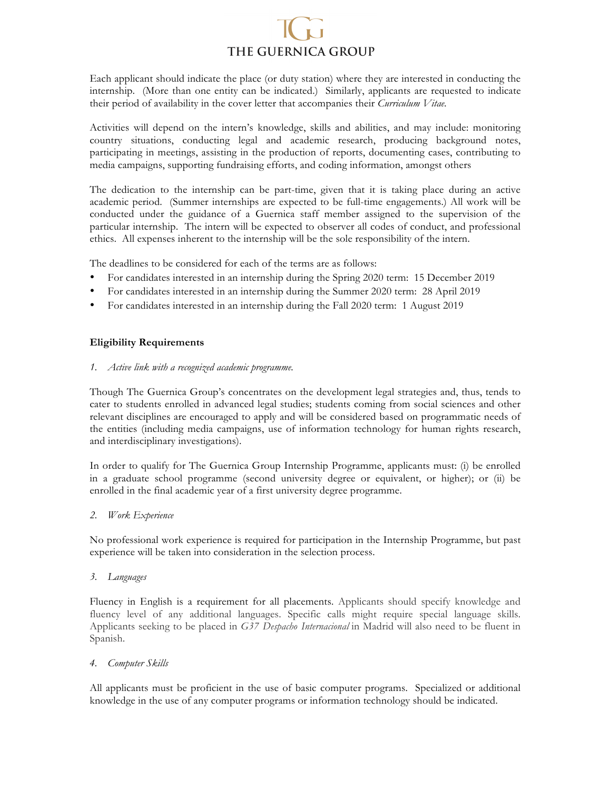# THE GUERNICA GROUP

Each applicant should indicate the place (or duty station) where they are interested in conducting the internship. (More than one entity can be indicated.) Similarly, applicants are requested to indicate their period of availability in the cover letter that accompanies their *Curriculum Vitae.*

Activities will depend on the intern's knowledge, skills and abilities, and may include: monitoring country situations, conducting legal and academic research, producing background notes, participating in meetings, assisting in the production of reports, documenting cases, contributing to media campaigns, supporting fundraising efforts, and coding information, amongst others

The dedication to the internship can be part-time, given that it is taking place during an active academic period. (Summer internships are expected to be full-time engagements.) All work will be conducted under the guidance of a Guernica staff member assigned to the supervision of the particular internship. The intern will be expected to observer all codes of conduct, and professional ethics. All expenses inherent to the internship will be the sole responsibility of the intern.

The deadlines to be considered for each of the terms are as follows:

- For candidates interested in an internship during the Spring 2020 term: 15 December 2019
- For candidates interested in an internship during the Summer 2020 term: 28 April 2019
- For candidates interested in an internship during the Fall 2020 term: 1 August 2019

### **Eligibility Requirements**

#### *1. Active link with a recognized academic programme.*

Though The Guernica Group's concentrates on the development legal strategies and, thus, tends to cater to students enrolled in advanced legal studies; students coming from social sciences and other relevant disciplines are encouraged to apply and will be considered based on programmatic needs of the entities (including media campaigns, use of information technology for human rights research, and interdisciplinary investigations).

In order to qualify for The Guernica Group Internship Programme, applicants must: (i) be enrolled in a graduate school programme (second university degree or equivalent, or higher); or (ii) be enrolled in the final academic year of a first university degree programme.

### *2. Work Experience*

No professional work experience is required for participation in the Internship Programme, but past experience will be taken into consideration in the selection process.

### *3. Languages*

Fluency in English is a requirement for all placements. Applicants should specify knowledge and fluency level of any additional languages. Specific calls might require special language skills. Applicants seeking to be placed in *G37 Despacho Internacional* in Madrid will also need to be fluent in Spanish.

### *4. Computer Skills*

All applicants must be proficient in the use of basic computer programs. Specialized or additional knowledge in the use of any computer programs or information technology should be indicated.